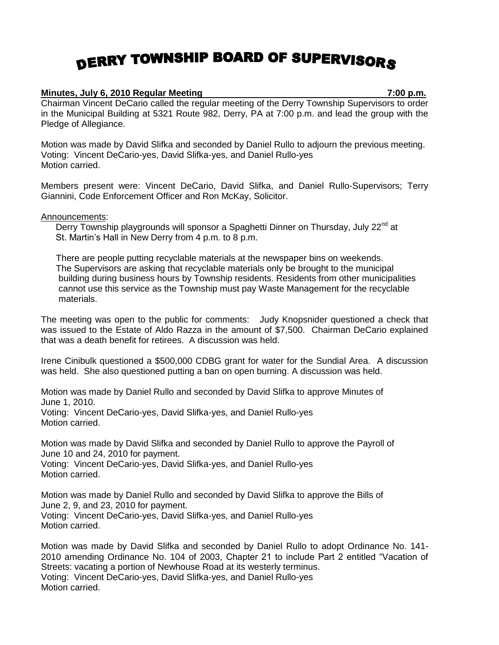## DERRY TOWNSHIP BOARD OF SUPERVISORS

## **Minutes, July 6, 2010 Regular Meeting 7:00 p.m.**

Chairman Vincent DeCario called the regular meeting of the Derry Township Supervisors to order in the Municipal Building at 5321 Route 982, Derry, PA at 7:00 p.m. and lead the group with the Pledge of Allegiance.

Motion was made by David Slifka and seconded by Daniel Rullo to adjourn the previous meeting. Voting: Vincent DeCario-yes, David Slifka-yes, and Daniel Rullo-yes Motion carried.

Members present were: Vincent DeCario, David Slifka, and Daniel Rullo-Supervisors; Terry Giannini, Code Enforcement Officer and Ron McKay, Solicitor.

Announcements:

Derry Township playgrounds will sponsor a Spaghetti Dinner on Thursday, July 22<sup>nd</sup> at St. Martin's Hall in New Derry from 4 p.m. to 8 p.m.

 There are people putting recyclable materials at the newspaper bins on weekends. The Supervisors are asking that recyclable materials only be brought to the municipal building during business hours by Township residents. Residents from other municipalities cannot use this service as the Township must pay Waste Management for the recyclable materials.

The meeting was open to the public for comments: Judy Knopsnider questioned a check that was issued to the Estate of Aldo Razza in the amount of \$7,500. Chairman DeCario explained that was a death benefit for retirees. A discussion was held.

Irene Cinibulk questioned a \$500,000 CDBG grant for water for the Sundial Area. A discussion was held. She also questioned putting a ban on open burning. A discussion was held.

Motion was made by Daniel Rullo and seconded by David Slifka to approve Minutes of June 1, 2010.

Voting: Vincent DeCario-yes, David Slifka-yes, and Daniel Rullo-yes Motion carried.

Motion was made by David Slifka and seconded by Daniel Rullo to approve the Payroll of June 10 and 24, 2010 for payment.

Voting: Vincent DeCario-yes, David Slifka-yes, and Daniel Rullo-yes Motion carried.

Motion was made by Daniel Rullo and seconded by David Slifka to approve the Bills of June 2, 9, and 23, 2010 for payment. Voting: Vincent DeCario-yes, David Slifka-yes, and Daniel Rullo-yes Motion carried.

Motion was made by David Slifka and seconded by Daniel Rullo to adopt Ordinance No. 141- 2010 amending Ordinance No. 104 of 2003, Chapter 21 to include Part 2 entitled "Vacation of Streets: vacating a portion of Newhouse Road at its westerly terminus. Voting: Vincent DeCario-yes, David Slifka-yes, and Daniel Rullo-yes Motion carried.